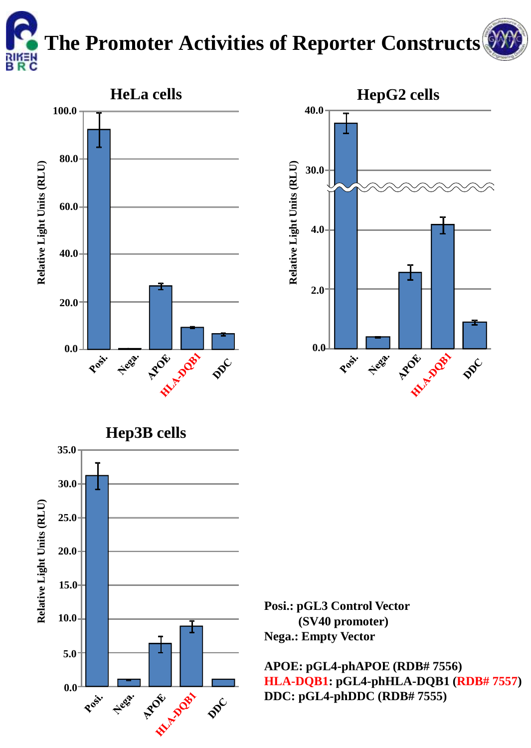

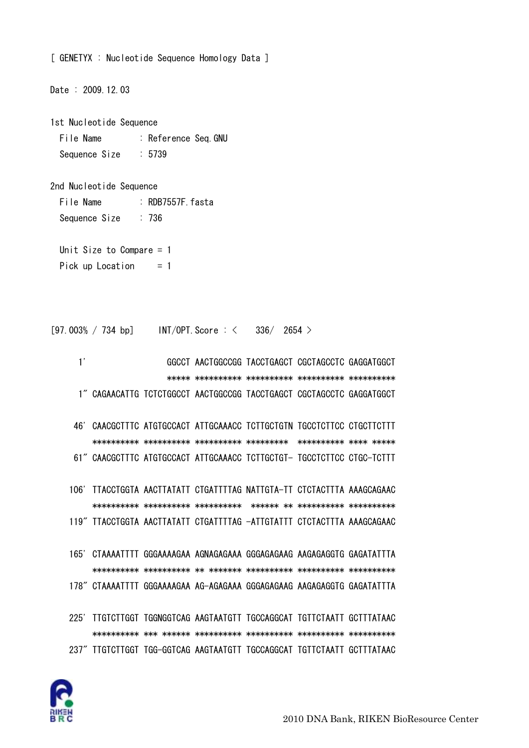

225' TTGTCTTGGT TGGNGGTCAG AAGTAATGTT TGCCAGGCAT TGTTCTAATT GCTTTATAAC 237" TTGTCTTGGT TGG-GGTCAG AAGTAATGTT TGCCAGGCAT TGTTCTAATT GCTTTATAAC

165' CTAAAATTTT GGGAAAAGAA AGNAGAGAAA GGGAGAGAAG AAGAGAGGTG GAGATATTTA 178" CTAAAATTTT GGGAAAAGAA AG-AGAGAAA GGGAGAGAAG AAGAGAGGTG GAGATATTTA

106' TTACCTGGTA AACTTATATT CTGATTTTAG NATTGTA-TT CTCTACTTTA AAAGCAGAAC 119" TTACCTGGTA AACTTATATT CTGATTTTAG -ATTGTATTT CTCTACTTTA AAAGCAGAAC

46' CAACGCTTTC ATGTGCCACT ATTGCAAACC TCTTGCTGTN TGCCTCTTCC CTGCTTCTTT 61" CAACGCTTTC ATGTGCCACT ATTGCAAACC TCTTGCTGT- TGCCTCTTCC CTGC-TCTTT

 $1'$ GGCCT AACTGGCCGG TACCTGAGCT CGCTAGCCTC GAGGATGGCT 1" CAGAACATTG TCTCTGGCCT AACTGGCCGG TACCTGAGCT CGCTAGCCTC GAGGATGGCT

 $[97.003\% / 734 bp]$  INT/OPT. Score:  $\lt$  $336/2654$ 

:  $R$ DB7557F  $f$ asta

 $: 736$ 

Unit Size to Compare  $= 1$ Pick up Location  $= 1$ 

Sequence Size  $: 5739$ 

2nd Nucleotide Sequence

File Name

Sequence Size

Date: 2009.12.03

File Name : Reference Seq.GNU

1st Nucleotide Sequence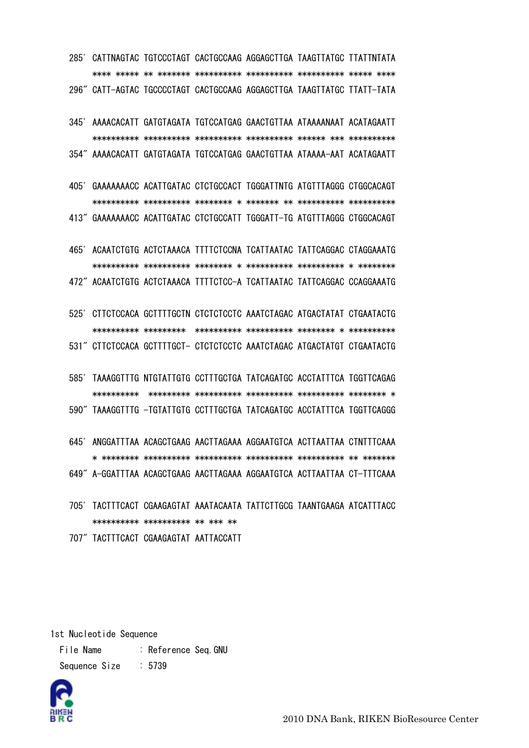285' CATTNAGTAC TGTCCCTAGT CACTGCCAAG AGGAGCTTGA TAAGTTATGC TTATTNTATA 296" CATT-AGTAC TGCCCCTAGT CACTGCCAAG AGGAGCTTGA TAAGTTATGC TTATT-TATA

345' AAAACACATT GATGTAGATA TGTCCATGAG GAACTGTTAA ATAAAANAAT ACATAGAATT 354" AAAACACATT GATGTAGATA TGTCCATGAG GAACTGTTAA ATAAAA-AAT ACATAGAATT

405' GAAAAAAACC ACATTGATAC CTCTGCCACT TGGGATTNTG ATGTTTAGGG CTGGCACAGT 413" GAAAAAAACC ACATTGATAC CTCTGCCATT TGGGATT-TG ATGTTTAGGG CTGGCACAGT

465' ACAATCTGTG ACTCTAAACA TTTTCTCCNA TCATTAATAC TATTCAGGAC CTAGGAAATG 472" ACAATCTGTG ACTCTAAACA TTTTCTCC-A TCATTAATAC TATTCAGGAC CCAGGAAATG

525' CTTCTCCACA GCTTTTGCTN CTCTCTCCTC AAATCTAGAC ATGACTATAT CTGAATACTG 531" CTTCTCCACA GCTTTTGCT- CTCTCTCCTC AAATCTAGAC ATGACTATGT CTGAATACTG

585' TAAAGGTTTG NTGTATTGTG CCTTTGCTGA TATCAGATGC ACCTATTTCA TGGTTCAGAG 

590" TAAAGGTTTG -TGTATTGTG CCTTTGCTGA TATCAGATGC ACCTATTTCA TGGTTCAGGG

645' ANGGATTTAA ACAGCTGAAG AACTTAGAAA AGGAATGTCA ACTTAATTAA CTNTTTCAAA 649" A-GGATTTAA ACAGCTGAAG AACTTAGAAA AGGAATGTCA ACTTAATTAA CT-TTTCAAA

705' TACTTTCACT CGAAGAGTAT AAATACAATA TATTCTTGCG TAANTGAAGA ATCATTTACC \*\*\*\*\*\*\*\*\*\*\* \*\*\*\*\*\*\*\*\*\*\* \*\* \*\*\* \*\*

707" TACTTTCACT CGAAGAGTAT AATTACCATT

1st Nucleotide Sequence

File Name : Reference Seg.GNU Sequence Size  $: 5739$ 



2010 DNA Bank, RIKEN BioResource Center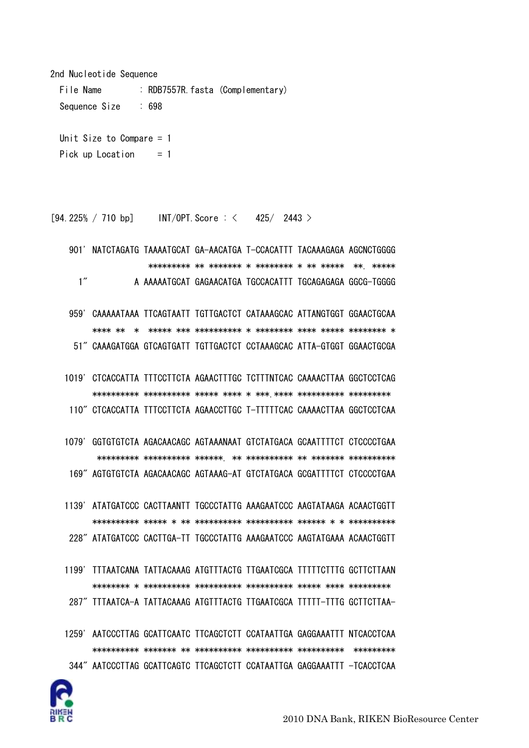2nd Nucleotide Sequence

File Name : RDB7557R.fasta (Complementary) Sequence Size : 698 Unit Size to Compare = 1

Pick up Location  $= 1$ 

 $[94.225\% / 710$  bp] INT/OPT. Score : < 425/ 2443 >

 901' NATCTAGATG TAAAATGCAT GA-AACATGA T-CCACATTT TACAAAGAGA AGCNCTGGGG \*\*\*\*\*\*\*\*\* \*\* \*\*\*\*\*\*\* \* \*\*\*\*\*\*\*\* \* \*\* \*\*\*\*\* \*\*. \*\*\*\*\* 1" A AAAAATGCAT GAGAACATGA TGCCACATTT TGCAGAGAGA GGCG-TGGGG 959' CAAAAATAAA TTCAGTAATT TGTTGACTCT CATAAAGCAC ATTANGTGGT GGAACTGCAA \*\*\*\* \*\* \* \*\*\*\*\* \*\*\* \*\*\*\*\*\*\*\*\*\* \* \*\*\*\*\*\*\*\* \*\*\*\* \*\*\*\*\* \*\*\*\*\*\*\*\* \* 51" CAAAGATGGA GTCAGTGATT TGTTGACTCT CCTAAAGCAC ATTA-GTGGT GGAACTGCGA 1019' CTCACCATTA TTTCCTTCTA AGAACTTTGC TCTTTNTCAC CAAAACTTAA GGCTCCTCAG \*\*\*\*\*\*\*\*\*\* \*\*\*\*\*\*\*\*\*\* \*\*\*\*\* \*\*\*\* \* \*\*\*.\*\*\*\* \*\*\*\*\*\*\*\*\*\* \*\*\*\*\*\*\*\*\* 110" CTCACCATTA TTTCCTTCTA AGAACCTTGC T-TTTTTCAC CAAAACTTAA GGCTCCTCAA

 1079' GGTGTGTCTA AGACAACAGC AGTAAANAAT GTCTATGACA GCAATTTTCT CTCCCCTGAA \*\*\*\*\*\*\*\*\* \*\*\*\*\*\*\*\*\*\* \*\*\*\*\*\*. \*\* \*\*\*\*\*\*\*\*\*\* \*\* \*\*\*\*\*\*\* \*\*\*\*\*\*\*\*\*\* 169" AGTGTGTCTA AGACAACAGC AGTAAAG-AT GTCTATGACA GCGATTTTCT CTCCCCTGAA

 1139' ATATGATCCC CACTTAANTT TGCCCTATTG AAAGAATCCC AAGTATAAGA ACAACTGGTT \*\*\*\*\*\*\*\*\*\* \*\*\*\*\* \* \*\* \*\*\*\*\*\*\*\*\*\* \*\*\*\*\*\*\*\*\*\* \*\*\*\*\*\* \* \* \*\*\*\*\*\*\*\*\*\* 228" ATATGATCCC CACTTGA-TT TGCCCTATTG AAAGAATCCC AAGTATGAAA ACAACTGGTT

- 1199' TTTAATCANA TATTACAAAG ATGTTTACTG TTGAATCGCA TTTTTCTTTG GCTTCTTAAN \*\*\*\*\*\*\*\* \* \*\*\*\*\*\*\*\*\*\* \*\*\*\*\*\*\*\*\*\* \*\*\*\*\*\*\*\*\*\* \*\*\*\*\* \*\*\*\* \*\*\*\*\*\*\*\*\* 287" TTTAATCA-A TATTACAAAG ATGTTTACTG TTGAATCGCA TTTTT-TTTG GCTTCTTAA-
- 1259' AATCCCTTAG GCATTCAATC TTCAGCTCTT CCATAATTGA GAGGAAATTT NTCACCTCAA \*\*\*\*\*\*\*\*\*\* \*\*\*\*\*\*\* \*\* \*\*\*\*\*\*\*\*\*\* \*\*\*\*\*\*\*\*\*\* \*\*\*\*\*\*\*\*\*\* \*\*\*\*\*\*\*\*\* 344" AATCCCTTAG GCATTCAGTC TTCAGCTCTT CCATAATTGA GAGGAAATTT -TCACCTCAA